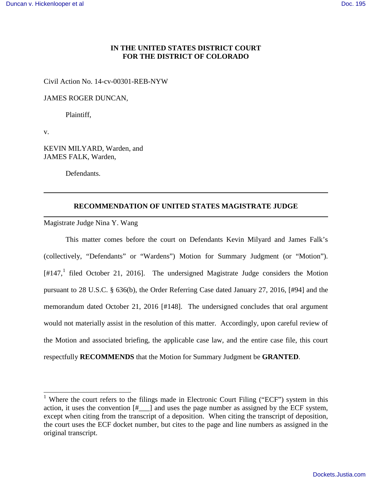# **IN THE UNITED STATES DISTRICT COURT FOR THE DISTRICT OF COLORADO**

Civil Action No. 14-cv-00301-REB-NYW

JAMES ROGER DUNCAN,

Plaintiff,

v.

-

KEVIN MILYARD, Warden, and JAMES FALK, Warden,

Defendants.

### **RECOMMENDATION OF UNITED STATES MAGISTRATE JUDGE**

Magistrate Judge Nina Y. Wang

This matter comes before the court on Defendants Kevin Milyard and James Falk's (collectively, "Defendants" or "Wardens") Motion for Summary Judgment (or "Motion").  $[#147, <sup>1</sup>]$  $[#147, <sup>1</sup>]$  $[#147, <sup>1</sup>]$  filed October 21, 2016]. The undersigned Magistrate Judge considers the Motion pursuant to 28 U.S.C. § 636(b), the Order Referring Case dated January 27, 2016, [#94] and the memorandum dated October 21, 2016 [#148]. The undersigned concludes that oral argument would not materially assist in the resolution of this matter. Accordingly, upon careful review of the Motion and associated briefing, the applicable case law, and the entire case file, this court respectfully **RECOMMENDS** that the Motion for Summary Judgment be **GRANTED**.

<span id="page-0-0"></span><sup>&</sup>lt;sup>1</sup> Where the court refers to the filings made in Electronic Court Filing ("ECF") system in this action, it uses the convention  $\left[\ddot{H}$  and uses the page number as assigned by the ECF system, except when citing from the transcript of a deposition. When citing the transcript of deposition, the court uses the ECF docket number, but cites to the page and line numbers as assigned in the original transcript.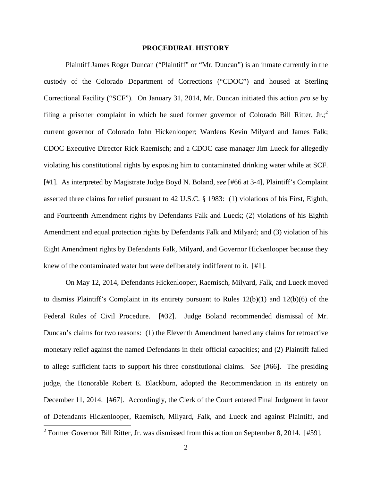### **PROCEDURAL HISTORY**

Plaintiff James Roger Duncan ("Plaintiff" or "Mr. Duncan") is an inmate currently in the custody of the Colorado Department of Corrections ("CDOC") and housed at Sterling Correctional Facility ("SCF"). On January 31, 2014, Mr. Duncan initiated this action *pro se* by filing a prisoner complaint in which he sued former governor of Colorado Bill Ritter, Jr.; current governor of Colorado John Hickenlooper; Wardens Kevin Milyard and James Falk; CDOC Executive Director Rick Raemisch; and a CDOC case manager Jim Lueck for allegedly violating his constitutional rights by exposing him to contaminated drinking water while at SCF. [#1]. As interpreted by Magistrate Judge Boyd N. Boland, *see* [#66 at 3-4], Plaintiff's Complaint asserted three claims for relief pursuant to 42 U.S.C. § 1983: (1) violations of his First, Eighth, and Fourteenth Amendment rights by Defendants Falk and Lueck; (2) violations of his Eighth Amendment and equal protection rights by Defendants Falk and Milyard; and (3) violation of his Eight Amendment rights by Defendants Falk, Milyard, and Governor Hickenlooper because they knew of the contaminated water but were deliberately indifferent to it. [#1].

On May 12, 2014, Defendants Hickenlooper, Raemisch, Milyard, Falk, and Lueck moved to dismiss Plaintiff's Complaint in its entirety pursuant to Rules 12(b)(1) and 12(b)(6) of the Federal Rules of Civil Procedure. [#32]. Judge Boland recommended dismissal of Mr. Duncan's claims for two reasons: (1) the Eleventh Amendment barred any claims for retroactive monetary relief against the named Defendants in their official capacities; and (2) Plaintiff failed to allege sufficient facts to support his three constitutional claims. *See* [#66]. The presiding judge, the Honorable Robert E. Blackburn, adopted the Recommendation in its entirety on December 11, 2014. [#67]. Accordingly, the Clerk of the Court entered Final Judgment in favor of Defendants Hickenlooper, Raemisch, Milyard, Falk, and Lueck and against Plaintiff, and

<span id="page-1-0"></span><sup>&</sup>lt;sup>2</sup> Former Governor Bill Ritter, Jr. was dismissed from this action on September 8, 2014. [#59].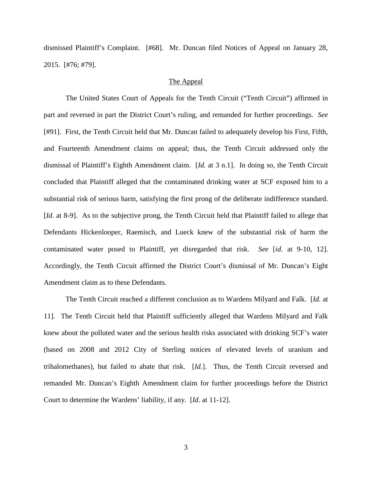dismissed Plaintiff's Complaint. [#68]. Mr. Duncan filed Notices of Appeal on January 28, 2015. [#76; #79].

# The Appeal

The United States Court of Appeals for the Tenth Circuit ("Tenth Circuit") affirmed in part and reversed in part the District Court's ruling, and remanded for further proceedings. *See*  [#91]. First, the Tenth Circuit held that Mr. Duncan failed to adequately develop his First, Fifth, and Fourteenth Amendment claims on appeal; thus, the Tenth Circuit addressed only the dismissal of Plaintiff's Eighth Amendment claim. [*Id.* at 3 n.1]. In doing so, the Tenth Circuit concluded that Plaintiff alleged that the contaminated drinking water at SCF exposed him to a substantial risk of serious harm, satisfying the first prong of the deliberate indifference standard. [*Id.* at 8-9]. As to the subjective prong, the Tenth Circuit held that Plaintiff failed to allege that Defendants Hickenlooper, Raemisch, and Lueck knew of the substantial risk of harm the contaminated water posed to Plaintiff, yet disregarded that risk. *See* [*id.* at 9-10, 12]. Accordingly, the Tenth Circuit affirmed the District Court's dismissal of Mr. Duncan's Eight Amendment claim as to these Defendants.

The Tenth Circuit reached a different conclusion as to Wardens Milyard and Falk. [*Id.* at 11]. The Tenth Circuit held that Plaintiff sufficiently alleged that Wardens Milyard and Falk knew about the polluted water and the serious health risks associated with drinking SCF's water (based on 2008 and 2012 City of Sterling notices of elevated levels of uranium and trihalomethanes), but failed to abate that risk. [*Id.*]. Thus, the Tenth Circuit reversed and remanded Mr. Duncan's Eighth Amendment claim for further proceedings before the District Court to determine the Wardens' liability, if any. [*Id.* at 11-12].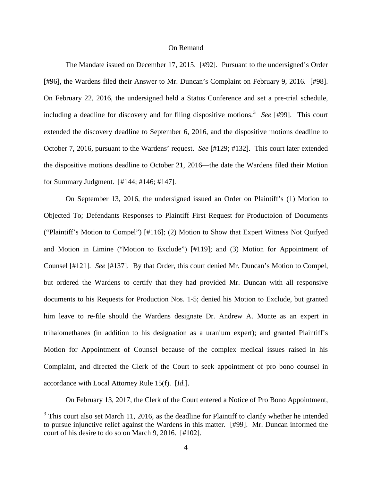#### On Remand

The Mandate issued on December 17, 2015. [#92]. Pursuant to the undersigned's Order [#96], the Wardens filed their Answer to Mr. Duncan's Complaint on February 9, 2016. [#98]. On February 22, 2016, the undersigned held a Status Conference and set a pre-trial schedule, including a deadline for discovery and for filing dispositive motions.<sup>[3](#page-3-0)</sup> See [#99]. This court extended the discovery deadline to September 6, 2016, and the dispositive motions deadline to October 7, 2016, pursuant to the Wardens' request. *See* [#129; #132]. This court later extended the dispositive motions deadline to October 21, 2016—the date the Wardens filed their Motion for Summary Judgment. [#144; #146; #147].

On September 13, 2016, the undersigned issued an Order on Plaintiff's (1) Motion to Objected To; Defendants Responses to Plaintiff First Request for Productoion of Documents ("Plaintiff's Motion to Compel") [#116]; (2) Motion to Show that Expert Witness Not Quifyed and Motion in Limine ("Motion to Exclude") [#119]; and (3) Motion for Appointment of Counsel [#121]. *See* [#137]. By that Order, this court denied Mr. Duncan's Motion to Compel, but ordered the Wardens to certify that they had provided Mr. Duncan with all responsive documents to his Requests for Production Nos. 1-5; denied his Motion to Exclude, but granted him leave to re-file should the Wardens designate Dr. Andrew A. Monte as an expert in trihalomethanes (in addition to his designation as a uranium expert); and granted Plaintiff's Motion for Appointment of Counsel because of the complex medical issues raised in his Complaint, and directed the Clerk of the Court to seek appointment of pro bono counsel in accordance with Local Attorney Rule 15(f). [*Id.*].

On February 13, 2017, the Clerk of the Court entered a Notice of Pro Bono Appointment,

<span id="page-3-0"></span> $3$  This court also set March 11, 2016, as the deadline for Plaintiff to clarify whether he intended to pursue injunctive relief against the Wardens in this matter. [#99]. Mr. Duncan informed the court of his desire to do so on March 9, 2016. [#102].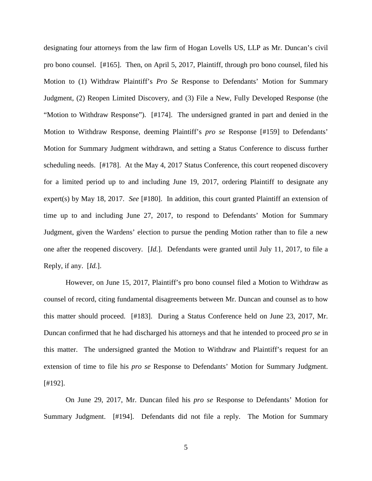designating four attorneys from the law firm of Hogan Lovells US, LLP as Mr. Duncan's civil pro bono counsel. [#165]. Then, on April 5, 2017, Plaintiff, through pro bono counsel, filed his Motion to (1) Withdraw Plaintiff's *Pro Se* Response to Defendants' Motion for Summary Judgment, (2) Reopen Limited Discovery, and (3) File a New, Fully Developed Response (the "Motion to Withdraw Response"). [#174]. The undersigned granted in part and denied in the Motion to Withdraw Response, deeming Plaintiff's *pro se* Response [#159] to Defendants' Motion for Summary Judgment withdrawn, and setting a Status Conference to discuss further scheduling needs. [#178]. At the May 4, 2017 Status Conference, this court reopened discovery for a limited period up to and including June 19, 2017, ordering Plaintiff to designate any expert(s) by May 18, 2017. *See* [#180]. In addition, this court granted Plaintiff an extension of time up to and including June 27, 2017, to respond to Defendants' Motion for Summary Judgment, given the Wardens' election to pursue the pending Motion rather than to file a new one after the reopened discovery. [*Id.*]. Defendants were granted until July 11, 2017, to file a Reply, if any. [*Id.*].

However, on June 15, 2017, Plaintiff's pro bono counsel filed a Motion to Withdraw as counsel of record, citing fundamental disagreements between Mr. Duncan and counsel as to how this matter should proceed. [#183]. During a Status Conference held on June 23, 2017, Mr. Duncan confirmed that he had discharged his attorneys and that he intended to proceed *pro se* in this matter. The undersigned granted the Motion to Withdraw and Plaintiff's request for an extension of time to file his *pro se* Response to Defendants' Motion for Summary Judgment. [#192].

On June 29, 2017, Mr. Duncan filed his *pro se* Response to Defendants' Motion for Summary Judgment. [#194]. Defendants did not file a reply. The Motion for Summary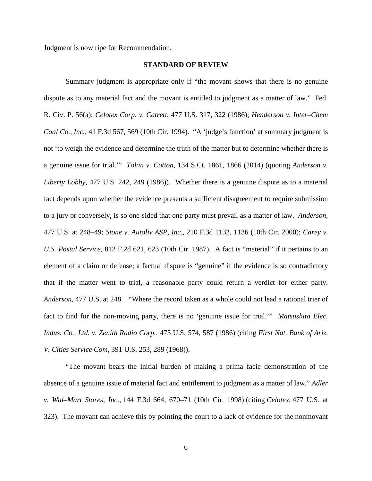Judgment is now ripe for Recommendation.

### **STANDARD OF REVIEW**

Summary judgment is appropriate only if "the movant shows that there is no genuine dispute as to any material fact and the movant is entitled to judgment as a matter of law." [Fed.](http://web2.westlaw.com/find/default.wl?mt=97&db=1004365&docname=USFRCPR56&rp=%2ffind%2fdefault.wl&findtype=L&ordoc=2027327342&tc=-1&vr=2.0&fn=_top&sv=Split&tf=-1&pbc=5D0836F2&rs=WLW14.04)  [R. Civ. P. 56\(a\);](http://web2.westlaw.com/find/default.wl?mt=97&db=1004365&docname=USFRCPR56&rp=%2ffind%2fdefault.wl&findtype=L&ordoc=2027327342&tc=-1&vr=2.0&fn=_top&sv=Split&tf=-1&pbc=5D0836F2&rs=WLW14.04) *Celotex Corp. v. Catrett,* [477 U.S. 317, 322 \(1986\);](http://web2.westlaw.com/find/default.wl?mt=97&db=708&tc=-1&rp=%2ffind%2fdefault.wl&findtype=Y&ordoc=2027327342&serialnum=1986132677&vr=2.0&fn=_top&sv=Split&tf=-1&pbc=5D0836F2&rs=WLW14.04) *[Henderson v. Inter–Chem](http://web2.westlaw.com/find/default.wl?mt=97&db=506&tc=-1&rp=%2ffind%2fdefault.wl&findtype=Y&ordoc=2027327342&serialnum=1994210295&vr=2.0&fn=_top&sv=Split&tf=-1&referencepositiontype=S&pbc=5D0836F2&referenceposition=569&rs=WLW14.04)  Coal Co., Inc.,* [41 F.3d 567, 569 \(10th Cir. 1994\).](http://web2.westlaw.com/find/default.wl?mt=97&db=506&tc=-1&rp=%2ffind%2fdefault.wl&findtype=Y&ordoc=2027327342&serialnum=1994210295&vr=2.0&fn=_top&sv=Split&tf=-1&referencepositiontype=S&pbc=5D0836F2&referenceposition=569&rs=WLW14.04) "A 'judge's function' at summary judgment is not 'to weigh the evidence and determine the truth of the matter but to determine whether there is a genuine issue for trial.'" *Tolan v. Cotton*, 134 S.Ct. 1861, 1866 (2014) (quoting *[Anderson v.](http://web2.westlaw.com/find/default.wl?mt=97&db=708&tc=-1&rp=%2ffind%2fdefault.wl&findtype=Y&ordoc=2027327342&serialnum=1986132674&vr=2.0&fn=_top&sv=Split&tf=-1&pbc=5D0836F2&rs=WLW14.04)  Liberty Lobby,* [477 U.S. 242, 249 \(1986\)\)](http://web2.westlaw.com/find/default.wl?mt=97&db=708&tc=-1&rp=%2ffind%2fdefault.wl&findtype=Y&ordoc=2027327342&serialnum=1986132674&vr=2.0&fn=_top&sv=Split&tf=-1&pbc=5D0836F2&rs=WLW14.04). Whether there is a genuine dispute as to a material fact depends upon whether the evidence presents a sufficient disagreement to require submission to a jury or conversely, is so one-sided that one party must prevail as a matter of law. *[Anderson,](http://web2.westlaw.com/find/default.wl?mt=97&db=708&tc=-1&rp=%2ffind%2fdefault.wl&findtype=Y&ordoc=2027327342&serialnum=1986132674&vr=2.0&fn=_top&sv=Split&tf=-1&pbc=5D0836F2&rs=WLW14.04)* [477 U.S. at 248–49;](http://web2.westlaw.com/find/default.wl?mt=97&db=708&tc=-1&rp=%2ffind%2fdefault.wl&findtype=Y&ordoc=2027327342&serialnum=1986132674&vr=2.0&fn=_top&sv=Split&tf=-1&pbc=5D0836F2&rs=WLW14.04) *Stone v. Autoliv ASP, Inc.,* [210 F.3d 1132, 1136 \(10th Cir. 2000\);](http://web2.westlaw.com/find/default.wl?mt=97&db=506&tc=-1&rp=%2ffind%2fdefault.wl&findtype=Y&ordoc=2027327342&serialnum=2000097094&vr=2.0&fn=_top&sv=Split&tf=-1&pbc=5D0836F2&rs=WLW14.04) *[Carey v.](http://web2.westlaw.com/find/default.wl?mt=97&db=350&tc=-1&rp=%2ffind%2fdefault.wl&findtype=Y&ordoc=2027327342&serialnum=1987023462&vr=2.0&fn=_top&sv=Split&tf=-1&referencepositiontype=S&pbc=5D0836F2&referenceposition=623&rs=WLW14.04)  U.S. Postal Service,* [812 F.2d 621, 623 \(10th Cir. 1987\).](http://web2.westlaw.com/find/default.wl?mt=97&db=350&tc=-1&rp=%2ffind%2fdefault.wl&findtype=Y&ordoc=2027327342&serialnum=1987023462&vr=2.0&fn=_top&sv=Split&tf=-1&referencepositiontype=S&pbc=5D0836F2&referenceposition=623&rs=WLW14.04) A fact is "material" if it pertains to an element of a claim or defense; a factual dispute is "genuine" if the evidence is so contradictory that if the matter went to trial, a reasonable party could return a verdict for either party. *Anderson,* [477 U.S. at 248.](http://web2.westlaw.com/find/default.wl?mt=97&db=780&tc=-1&rp=%2ffind%2fdefault.wl&findtype=Y&ordoc=2027327342&serialnum=1986132674&vr=2.0&fn=_top&sv=Split&tf=-1&referencepositiontype=S&pbc=5D0836F2&referenceposition=248&rs=WLW14.04) "Where the record taken as a whole could not lead a rational trier of fact to find for the non-moving party, there is no 'genuine issue for trial.'" *Matsushita Elec. Indus. Co., Ltd. v. Zenith Radio Corp.*, 475 U.S. 574, 587 (1986) (citing *First Nat. Bank of Ariz. V. Cities Service Com*[, 391 U.S. 253, 289](http://web2.westlaw.com/find/default.wl?mt=Westlaw&db=708&tc=-1&rp=%2ffind%2fdefault.wl&findtype=Y&ordoc=1986115992&serialnum=1968131190&vr=2.0&fn=_top&sv=Split&tf=-1&referencepositiontype=S&pbc=79FD9193&referenceposition=1592&rs=WLW14.04) (1968)).

"The movant bears the initial burden of making a prima facie demonstration of the absence of a genuine issue of material fact and entitlement to judgment as a matter of law." *[Adler](https://1.next.westlaw.com/Link/Document/FullText?findType=Y&serNum=1998109558&pubNum=506&originatingDoc=I1d8c87e15abe11e085acc3f6d5ffa172&refType=RP&fi=co_pp_sp_506_670&originationContext=document&transitionType=DocumentItem&contextData=(sc.Search)#co_pp_sp_506_670)  v. Wal–Mart Stores, Inc.,* [144 F.3d 664, 670–71 \(10th Cir. 1998\)](https://1.next.westlaw.com/Link/Document/FullText?findType=Y&serNum=1998109558&pubNum=506&originatingDoc=I1d8c87e15abe11e085acc3f6d5ffa172&refType=RP&fi=co_pp_sp_506_670&originationContext=document&transitionType=DocumentItem&contextData=(sc.Search)#co_pp_sp_506_670) (citing *Celotex,* [477 U.S. at](https://1.next.westlaw.com/Link/Document/FullText?findType=Y&serNum=1986132677&pubNum=780&originatingDoc=I1d8c87e15abe11e085acc3f6d5ffa172&refType=RP&fi=co_pp_sp_780_323&originationContext=document&transitionType=DocumentItem&contextData=(sc.Search)#co_pp_sp_780_323)  [323\).](https://1.next.westlaw.com/Link/Document/FullText?findType=Y&serNum=1986132677&pubNum=780&originatingDoc=I1d8c87e15abe11e085acc3f6d5ffa172&refType=RP&fi=co_pp_sp_780_323&originationContext=document&transitionType=DocumentItem&contextData=(sc.Search)#co_pp_sp_780_323) The movant can achieve this by pointing the court to a lack of evidence for the nonmovant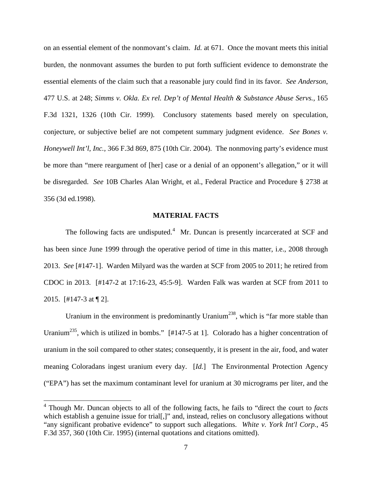on an essential element of the nonmovant's claim. *Id.* at 671. Once the movant meets this initial burden, the nonmovant assumes the burden to put forth sufficient evidence to demonstrate the essential elements of the claim such that a reasonable jury could find in its favor. *See Anderson*, 477 U.S. at 248; *[Simms v. Okla. Ex rel. Dep't of Mental Health & Substance Abuse Servs.,](https://1.next.westlaw.com/Link/Document/FullText?findType=Y&serNum=1999037310&pubNum=506&originatingDoc=I1d8c87e15abe11e085acc3f6d5ffa172&refType=RP&fi=co_pp_sp_506_1326&originationContext=document&transitionType=DocumentItem&contextData=(sc.Search)#co_pp_sp_506_1326)* 165 [F.3d 1321, 1326 \(10th Cir. 1999\).](https://1.next.westlaw.com/Link/Document/FullText?findType=Y&serNum=1999037310&pubNum=506&originatingDoc=I1d8c87e15abe11e085acc3f6d5ffa172&refType=RP&fi=co_pp_sp_506_1326&originationContext=document&transitionType=DocumentItem&contextData=(sc.Search)#co_pp_sp_506_1326) Conclusory statements based merely on speculation, conjecture, or subjective belief are not competent summary judgment evidence. *See [Bones v.](http://web2.westlaw.com/find/default.wl?mt=97&db=506&tc=-1&rp=%2ffind%2fdefault.wl&findtype=Y&ordoc=2025252256&serialnum=2004364779&vr=2.0&fn=_top&sv=Split&tf=-1&referencepositiontype=S&pbc=8B4F362D&referenceposition=875&rs=WLW15.04)  Honeywell Int'l, Inc.,* [366 F.3d 869, 875 \(10th Cir. 2004\).](http://web2.westlaw.com/find/default.wl?mt=97&db=506&tc=-1&rp=%2ffind%2fdefault.wl&findtype=Y&ordoc=2025252256&serialnum=2004364779&vr=2.0&fn=_top&sv=Split&tf=-1&referencepositiontype=S&pbc=8B4F362D&referenceposition=875&rs=WLW15.04) The nonmoving party's evidence must be more than "mere reargument of [her] case or a denial of an opponent's allegation," or it will be disregarded. *See* [10B Charles Alan Wright, et al., Federal Practice and Procedure § 2738 at](http://web2.westlaw.com/find/default.wl?mt=97&db=0102228&tc=-1&rp=%2ffind%2fdefault.wl&findtype=Y&ordoc=2025252256&serialnum=0108902540&vr=2.0&fn=_top&sv=Split&tf=-1&pbc=8B4F362D&rs=WLW15.04)  [356 \(3d ed.1998\).](http://web2.westlaw.com/find/default.wl?mt=97&db=0102228&tc=-1&rp=%2ffind%2fdefault.wl&findtype=Y&ordoc=2025252256&serialnum=0108902540&vr=2.0&fn=_top&sv=Split&tf=-1&pbc=8B4F362D&rs=WLW15.04)

# **MATERIAL FACTS**

The following facts are undisputed.<sup>[4](#page-6-0)</sup> Mr. Duncan is presently incarcerated at SCF and has been since June 1999 through the operative period of time in this matter, i.e., 2008 through 2013. *See* [#147-1]. Warden Milyard was the warden at SCF from 2005 to 2011; he retired from CDOC in 2013. [#147-2 at 17:16-23, 45:5-9]. Warden Falk was warden at SCF from 2011 to 2015. [#147-3 at ¶ 2].

Uranium in the environment is predominantly Uranium<sup>238</sup>, which is "far more stable than Uranium<sup>235</sup>, which is utilized in bombs." [#147-5 at 1]. Colorado has a higher concentration of uranium in the soil compared to other states; consequently, it is present in the air, food, and water meaning Coloradans ingest uranium every day. [*Id.*] The Environmental Protection Agency ("EPA") has set the maximum contaminant level for uranium at 30 micrograms per liter, and the

<span id="page-6-0"></span> 4 Though Mr. Duncan objects to all of the following facts, he fails to "direct the court to *facts* which establish a genuine issue for trial[,]" and, instead, relies on conclusory allegations without "any significant probative evidence" to support such allegations. *White v. York Int'l Corp.*, 45 F.3d 357, 360 (10th Cir. 1995) (internal quotations and citations omitted).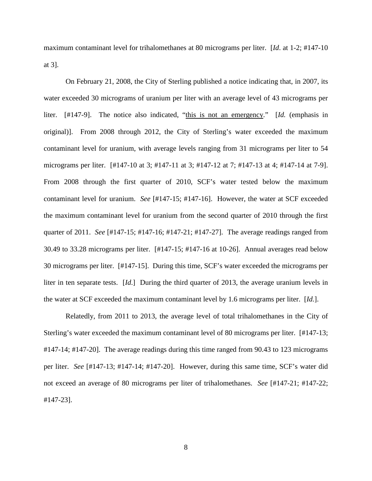maximum contaminant level for trihalomethanes at 80 micrograms per liter. [*Id*. at 1-2; #147-10 at 3].

On February 21, 2008, the City of Sterling published a notice indicating that, in 2007, its water exceeded 30 micrograms of uranium per liter with an average level of 43 micrograms per liter. [#147-9]. The notice also indicated, "this is not an emergency." [*Id.* (emphasis in original)]. From 2008 through 2012, the City of Sterling's water exceeded the maximum contaminant level for uranium, with average levels ranging from 31 micrograms per liter to 54 micrograms per liter. [#147-10 at 3; #147-11 at 3; #147-12 at 7; #147-13 at 4; #147-14 at 7-9]. From 2008 through the first quarter of 2010, SCF's water tested below the maximum contaminant level for uranium. *See* [#147-15; #147-16]. However, the water at SCF exceeded the maximum contaminant level for uranium from the second quarter of 2010 through the first quarter of 2011. *See* [#147-15; #147-16; #147-21; #147-27]. The average readings ranged from 30.49 to 33.28 micrograms per liter. [#147-15; #147-16 at 10-26]. Annual averages read below 30 micrograms per liter. [#147-15]. During this time, SCF's water exceeded the micrograms per liter in ten separate tests. [*Id*.] During the third quarter of 2013, the average uranium levels in the water at SCF exceeded the maximum contaminant level by 1.6 micrograms per liter. [*Id.*].

Relatedly, from 2011 to 2013, the average level of total trihalomethanes in the City of Sterling's water exceeded the maximum contaminant level of 80 micrograms per liter. [#147-13; #147-14; #147-20]. The average readings during this time ranged from 90.43 to 123 micrograms per liter. *See* [#147-13; #147-14; #147-20]. However, during this same time, SCF's water did not exceed an average of 80 micrograms per liter of trihalomethanes. *See* [#147-21; #147-22; #147-23].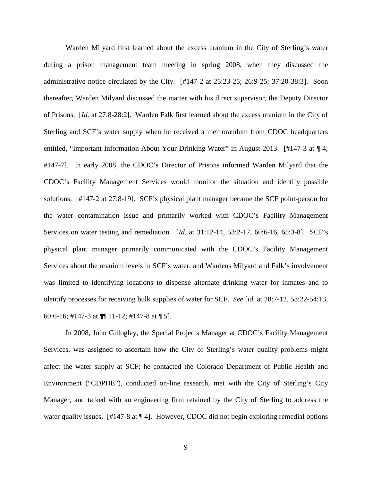Warden Milyard first learned about the excess uranium in the City of Sterling's water during a prison management team meeting in spring 2008, when they discussed the administrative notice circulated by the City.  $[#147-2 \text{ at } 25:23-25; 26:9-25; 37:20-38:3]$ . Soon thereafter, Warden Milyard discussed the matter with his direct supervisor, the Deputy Director of Prisons. [*Id.* at 27:8-28:2]. Warden Falk first learned about the excess uranium in the City of Sterling and SCF's water supply when he received a memorandum from CDOC headquarters entitled, "Important Information About Your Drinking Water" in August 2013. [#147-3 at ¶ 4; #147-7]. In early 2008, the CDOC's Director of Prisons informed Warden Milyard that the CDOC's Facility Management Services would monitor the situation and identify possible solutions. [#147-2 at 27:8-19]. SCF's physical plant manager became the SCF point-person for the water contamination issue and primarily worked with CDOC's Facility Management Services on water testing and remediation. [*Id.* at 31:12-14, 53:2-17, 60:6-16, 65:3-8]. SCF's physical plant manager primarily communicated with the CDOC's Facility Management Services about the uranium levels in SCF's water, and Wardens Milyard and Falk's involvement was limited to identifying locations to dispense alternate drinking water for inmates and to identify processes for receiving bulk supplies of water for SCF. *See* [*id.* at 28:7-12, 53:22-54:13, 60:6-16; #147-3 at ¶¶ 11-12; #147-8 at ¶ 5].

In 2008, John Gillogley, the Special Projects Manager at CDOC's Facility Management Services, was assigned to ascertain how the City of Sterling's water quality problems might affect the water supply at SCF; he contacted the Colorado Department of Public Health and Environment ("CDPHE"), conducted on-line research, met with the City of Sterling's City Manager, and talked with an engineering firm retained by the City of Sterling to address the water quality issues.  $[#147-8 \text{ at } 94]$ . However, CDOC did not begin exploring remedial options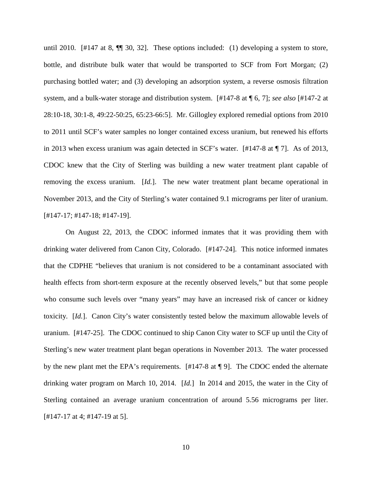until 2010. [#147 at 8, ¶¶ 30, 32]. These options included: (1) developing a system to store, bottle, and distribute bulk water that would be transported to SCF from Fort Morgan; (2) purchasing bottled water; and (3) developing an adsorption system, a reverse osmosis filtration system, and a bulk-water storage and distribution system. [#147-8 at ¶ 6, 7]; *see also* [#147-2 at 28:10-18, 30:1-8, 49:22-50:25, 65:23-66:5]. Mr. Gillogley explored remedial options from 2010 to 2011 until SCF's water samples no longer contained excess uranium, but renewed his efforts in 2013 when excess uranium was again detected in SCF's water. [#147-8 at ¶ 7]. As of 2013, CDOC knew that the City of Sterling was building a new water treatment plant capable of removing the excess uranium. [*Id.*]. The new water treatment plant became operational in November 2013, and the City of Sterling's water contained 9.1 micrograms per liter of uranium. [#147-17; #147-18; #147-19].

On August 22, 2013, the CDOC informed inmates that it was providing them with drinking water delivered from Canon City, Colorado. [#147-24]. This notice informed inmates that the CDPHE "believes that uranium is not considered to be a contaminant associated with health effects from short-term exposure at the recently observed levels," but that some people who consume such levels over "many years" may have an increased risk of cancer or kidney toxicity. [*Id.*]. Canon City's water consistently tested below the maximum allowable levels of uranium. [#147-25]. The CDOC continued to ship Canon City water to SCF up until the City of Sterling's new water treatment plant began operations in November 2013. The water processed by the new plant met the EPA's requirements. [#147-8 at ¶ 9]. The CDOC ended the alternate drinking water program on March 10, 2014. [*Id.*] In 2014 and 2015, the water in the City of Sterling contained an average uranium concentration of around 5.56 micrograms per liter. [#147-17 at 4; #147-19 at 5].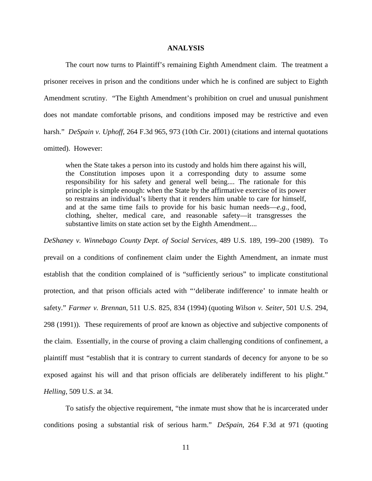#### **ANALYSIS**

The court now turns to Plaintiff's remaining Eighth Amendment claim. The treatment a prisoner receives in prison and the conditions under which he is confined are subject to Eighth Amendment scrutiny. "The Eighth Amendment's prohibition on cruel and unusual punishment does not mandate comfortable prisons, and conditions imposed may be restrictive and even harsh." *DeSpain v. Uphoff*, 264 F.3d 965, 973 (10th Cir. 2001) (citations and internal quotations omitted). However:

when the State takes a person into its custody and holds him there against his will, the Constitution imposes upon it a corresponding duty to assume some responsibility for his safety and general well being.... The rationale for this principle is simple enough: when the State by the affirmative exercise of its power so restrains an individual's liberty that it renders him unable to care for himself, and at the same time fails to provide for his basic human needs—*e.g.,* food, clothing, shelter, medical care, and reasonable safety—it transgresses the substantive limits on state action set by the Eighth Amendment....

*[DeShaney v. Winnebago County Dept. of Social Services,](https://1.next.westlaw.com/Link/Document/FullText?findType=Y&serNum=1989027114&pubNum=708&originatingDoc=Iaf7960839c7e11d9bdd1cfdd544ca3a4&refType=RP&fi=co_pp_sp_708_1005&originationContext=document&transitionType=DocumentItem&contextData=(sc.UserEnteredCitation)#co_pp_sp_708_1005)* 489 U.S. 189, 199–200 (1989). To prevail on a conditions of confinement claim under the Eighth Amendment, an inmate must establish that the condition complained of is "sufficiently serious" to implicate constitutional protection, and that prison officials acted with "'deliberate indifference' to inmate health or safety." *Farmer v. Brennan*[, 511 U.S. 825, 834 \(1994\)](https://1.next.westlaw.com/Link/Document/FullText?findType=Y&serNum=1994122578&pubNum=708&originatingDoc=I5f35623391c111d9bc61beebb95be672&refType=RP&fi=co_pp_sp_708_1977&originationContext=document&transitionType=DocumentItem&contextData=(sc.UserEnteredCitation)#co_pp_sp_708_1977) (quoting *[Wilson v. Seiter](https://1.next.westlaw.com/Link/Document/FullText?findType=Y&serNum=1991109026&pubNum=708&originatingDoc=I5f35623391c111d9bc61beebb95be672&refType=RP&fi=co_pp_sp_708_2323&originationContext=document&transitionType=DocumentItem&contextData=(sc.UserEnteredCitation)#co_pp_sp_708_2323)*, 501 U.S. 294, [298 \(1991\)\)](https://1.next.westlaw.com/Link/Document/FullText?findType=Y&serNum=1991109026&pubNum=708&originatingDoc=I5f35623391c111d9bc61beebb95be672&refType=RP&fi=co_pp_sp_708_2323&originationContext=document&transitionType=DocumentItem&contextData=(sc.UserEnteredCitation)#co_pp_sp_708_2323). These requirements of proof are known as objective and subjective components of the claim. Essentially, in the course of proving a claim challenging conditions of confinement, a plaintiff must "establish that it is contrary to current standards of decency for anyone to be so exposed against his will and that prison officials are deliberately indifferent to his plight." *Helling*[, 509 U.S. at 34](https://1.next.westlaw.com/Link/Document/FullText?findType=Y&serNum=1993124663&pubNum=780&originatingDoc=Ibfdacde4515611e0a982f2e73586a872&refType=RP&fi=co_pp_sp_780_33&originationContext=document&transitionType=DocumentItem&contextData=(sc.Search)#co_pp_sp_780_33).

To satisfy the objective requirement, "the inmate must show that he is incarcerated under conditions posing a substantial risk of serious harm." *DeSpain*, 264 F.3d at 971 (quoting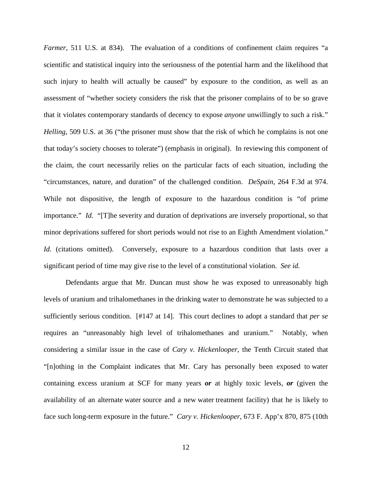*Farmer*, 511 U.S. at 834). The evaluation of a conditions of confinement claim requires "a scientific and statistical inquiry into the seriousness of the potential harm and the likelihood that such injury to health will actually be caused" by exposure to the condition, as well as an assessment of "whether society considers the risk that the prisoner complains of to be so grave that it violates contemporary standards of decency to expose *anyone* unwillingly to such a risk." *Helling*, 509 U.S. at 36 ("the prisoner must show that the risk of which he complains is not one that today's society chooses to tolerate") (emphasis in original). In reviewing this component of the claim, the court necessarily relies on the particular facts of each situation, including the "circumstances, nature, and duration" of the challenged condition. *DeSpain*, 264 F.3d at 974. While not dispositive, the length of exposure to the hazardous condition is "of prime importance." *Id.* "[T]he severity and duration of deprivations are inversely proportional, so that minor deprivations suffered for short periods would not rise to an Eighth Amendment violation." *Id.* (citations omitted). Conversely, exposure to a hazardous condition that lasts over a significant period of time may give rise to the level of a constitutional violation. *See id.*

Defendants argue that Mr. Duncan must show he was exposed to unreasonably high levels of uranium and trihalomethanes in the drinking water to demonstrate he was subjected to a sufficiently serious condition. [#147 at 14]. This court declines to adopt a standard that *per se* requires an "unreasonably high level of trihalomethanes and uranium." Notably, when considering a similar issue in the case of *Cary v. Hickenlooper*, the Tenth Circuit stated that "[n]othing in the Complaint indicates that Mr. Cary has personally been exposed to water containing excess uranium at SCF for many years *or* at highly toxic levels, *or* (given the availability of an alternate water source and a new water treatment facility) that he is likely to face such long-term exposure in the future." *Cary v. Hickenlooper*, 673 F. App'x 870, 875 (10th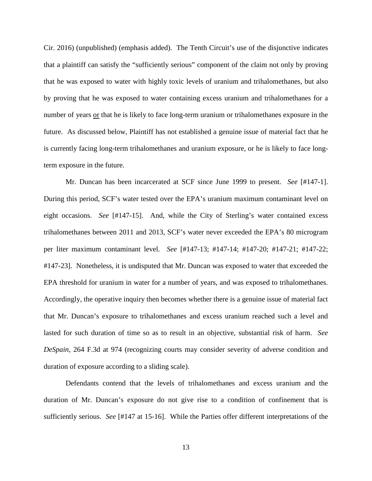Cir. 2016) (unpublished) (emphasis added). The Tenth Circuit's use of the disjunctive indicates that a plaintiff can satisfy the "sufficiently serious" component of the claim not only by proving that he was exposed to water with highly toxic levels of uranium and trihalomethanes, but also by proving that he was exposed to water containing excess uranium and trihalomethanes for a number of years or that he is likely to face long-term uranium or trihalomethanes exposure in the future. As discussed below, Plaintiff has not established a genuine issue of material fact that he is currently facing long-term trihalomethanes and uranium exposure, or he is likely to face longterm exposure in the future.

Mr. Duncan has been incarcerated at SCF since June 1999 to present. *See* [#147-1]. During this period, SCF's water tested over the EPA's uranium maximum contaminant level on eight occasions. *See* [#147-15]. And, while the City of Sterling's water contained excess trihalomethanes between 2011 and 2013, SCF's water never exceeded the EPA's 80 microgram per liter maximum contaminant level. *See* [#147-13; #147-14; #147-20; #147-21; #147-22; #147-23]. Nonetheless, it is undisputed that Mr. Duncan was exposed to water that exceeded the EPA threshold for uranium in water for a number of years, and was exposed to trihalomethanes. Accordingly, the operative inquiry then becomes whether there is a genuine issue of material fact that Mr. Duncan's exposure to trihalomethanes and excess uranium reached such a level and lasted for such duration of time so as to result in an objective, substantial risk of harm. *See DeSpain*, 264 F.3d at 974 (recognizing courts may consider severity of adverse condition and duration of exposure according to a sliding scale).

Defendants contend that the levels of trihalomethanes and excess uranium and the duration of Mr. Duncan's exposure do not give rise to a condition of confinement that is sufficiently serious. *See* [#147 at 15-16]. While the Parties offer different interpretations of the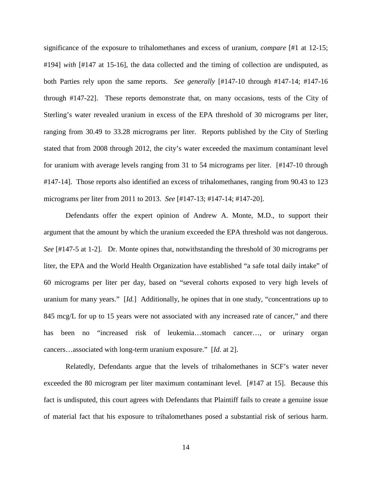significance of the exposure to trihalomethanes and excess of uranium, *compare* [#1 at 12-15; #194] *with* [#147 at 15-16], the data collected and the timing of collection are undisputed, as both Parties rely upon the same reports. *See generally* [#147-10 through #147-14; #147-16 through #147-22]. These reports demonstrate that, on many occasions, tests of the City of Sterling's water revealed uranium in excess of the EPA threshold of 30 micrograms per liter, ranging from 30.49 to 33.28 micrograms per liter. Reports published by the City of Sterling stated that from 2008 through 2012, the city's water exceeded the maximum contaminant level for uranium with average levels ranging from 31 to 54 micrograms per liter. [#147-10 through #147-14]. Those reports also identified an excess of trihalomethanes, ranging from 90.43 to 123 micrograms per liter from 2011 to 2013. *See* [#147-13; #147-14; #147-20].

Defendants offer the expert opinion of Andrew A. Monte, M.D., to support their argument that the amount by which the uranium exceeded the EPA threshold was not dangerous. *See* [#147-5 at 1-2]. Dr. Monte opines that, notwithstanding the threshold of 30 micrograms per liter, the EPA and the World Health Organization have established "a safe total daily intake" of 60 micrograms per liter per day, based on "several cohorts exposed to very high levels of uranium for many years." [*Id.*] Additionally, he opines that in one study, "concentrations up to 845 mcg/L for up to 15 years were not associated with any increased rate of cancer," and there has been no "increased risk of leukemia...stomach cancer..., or urinary organ cancers…associated with long-term uranium exposure." [*Id.* at 2].

Relatedly, Defendants argue that the levels of trihalomethanes in SCF's water never exceeded the 80 microgram per liter maximum contaminant level. [#147 at 15]. Because this fact is undisputed, this court agrees with Defendants that Plaintiff fails to create a genuine issue of material fact that his exposure to trihalomethanes posed a substantial risk of serious harm.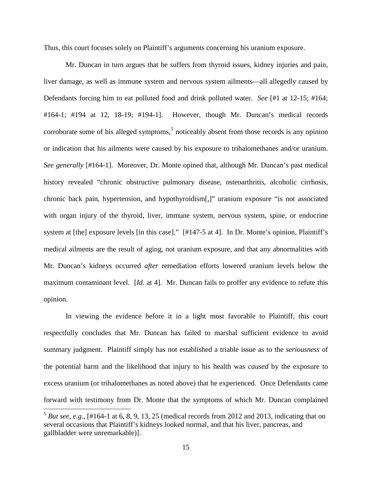Thus, this court focuses solely on Plaintiff's arguments concerning his uranium exposure.

Mr. Duncan in turn argues that he suffers from thyroid issues, kidney injuries and pain, liver damage, as well as immune system and nervous system ailments—all allegedly caused by Defendants forcing him to eat polluted food and drink polluted water. *See* [#1 at 12-15; #164; #164-1; #194 at 12, 18-19; #194-1]. However, though Mr. Duncan's medical records corroborate some of his alleged symptoms, $5$  noticeably absent from those records is any opinion or indication that his ailments were caused by his exposure to trihalomethanes and/or uranium. *See generally* [#164-1]. Moreover, Dr. Monte opined that, although Mr. Duncan's past medical history revealed "chronic obstructive pulmonary disease, osteoarthritis, alcoholic cirrhosis, chronic back pain, hypertension, and hypothyroidism[,]" uranium exposure "is not associated with organ injury of the thyroid, liver, immune system, nervous system, spine, or endocrine system at [the] exposure levels [in this case]." [#147-5 at 4]. In Dr. Monte's opinion, Plaintiff's medical ailments are the result of aging, not uranium exposure, and that any abnormalities with Mr. Duncan's kidneys occurred *after* remediation efforts lowered uranium levels below the maximum contaminant level. [*Id.* at 4]. Mr. Duncan fails to proffer any evidence to refute this opinion.

In viewing the evidence before it in a light most favorable to Plaintiff, this court respectfully concludes that Mr. Duncan has failed to marshal sufficient evidence to avoid summary judgment. Plaintiff simply has not established a triable issue as to the *seriousness* of the potential harm and the likelihood that injury to his health was *caused* by the exposure to excess uranium (or trihalomethanes as noted above) that he experienced. Once Defendants came forward with testimony from Dr. Monte that the symptoms of which Mr. Duncan complained

<span id="page-14-0"></span> $5$  *But see, e.g.*, [#164-1 at 6, 8, 9, 13, 25 (medical records from 2012 and 2013, indicating that on several occasions that Plaintiff's kidneys looked normal, and that his liver, pancreas, and gallbladder were unremarkable)].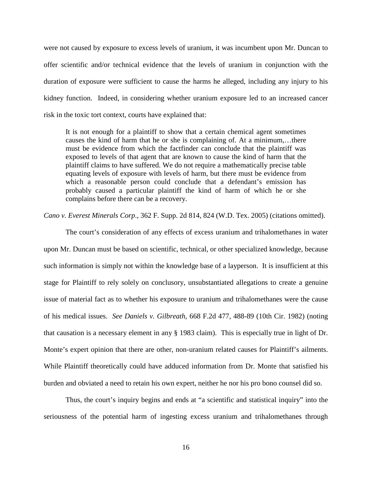were not caused by exposure to excess levels of uranium, it was incumbent upon Mr. Duncan to offer scientific and/or technical evidence that the levels of uranium in conjunction with the duration of exposure were sufficient to cause the harms he alleged, including any injury to his kidney function. Indeed, in considering whether uranium exposure led to an increased cancer risk in the toxic tort context, courts have explained that:

It is not enough for a plaintiff to show that a certain chemical agent sometimes causes the kind of harm that he or she is complaining of. At a minimum,…there must be evidence from which the factfinder can conclude that the plaintiff was exposed to levels of that agent that are known to cause the kind of harm that the plaintiff claims to have suffered. We do not require a mathematically precise table equating levels of exposure with levels of harm, but there must be evidence from which a reasonable person could conclude that a defendant's emission has probably caused a particular plaintiff the kind of harm of which he or she complains before there can be a recovery.

*Cano v. Everest Minerals Corp*., 362 F. Supp. 2d 814, 824 (W.D. Tex. 2005) (citations omitted).

The court's consideration of any effects of excess uranium and trihalomethanes in water upon Mr. Duncan must be based on scientific, technical, or other specialized knowledge, because such information is simply not within the knowledge base of a layperson. It is insufficient at this stage for Plaintiff to rely solely on conclusory, unsubstantiated allegations to create a genuine issue of material fact as to whether his exposure to uranium and trihalomethanes were the cause of his medical issues. *See Daniels v. Gilbreath*, 668 F.2d 477, 488-89 (10th Cir. 1982) (noting that causation is a necessary element in any § 1983 claim). This is especially true in light of Dr. Monte's expert opinion that there are other, non-uranium related causes for Plaintiff's ailments. While Plaintiff theoretically could have adduced information from Dr. Monte that satisfied his burden and obviated a need to retain his own expert, neither he nor his pro bono counsel did so.

Thus, the court's inquiry begins and ends at "a scientific and statistical inquiry" into the seriousness of the potential harm of ingesting excess uranium and trihalomethanes through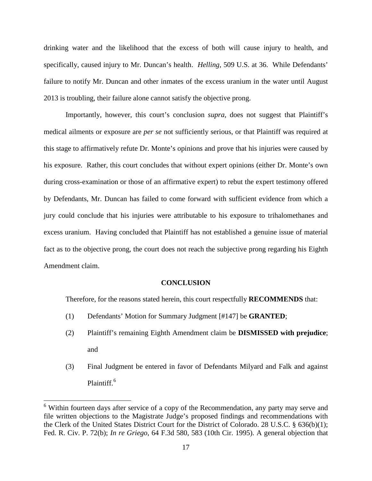drinking water and the likelihood that the excess of both will cause injury to health, and specifically, caused injury to Mr. Duncan's health. *Helling*, 509 U.S. at 36. While Defendants' failure to notify Mr. Duncan and other inmates of the excess uranium in the water until August 2013 is troubling, their failure alone cannot satisfy the objective prong.

Importantly, however, this court's conclusion *supra*, does not suggest that Plaintiff's medical ailments or exposure are *per se* not sufficiently serious, or that Plaintiff was required at this stage to affirmatively refute Dr. Monte's opinions and prove that his injuries were caused by his exposure. Rather, this court concludes that without expert opinions (either Dr. Monte's own during cross-examination or those of an affirmative expert) to rebut the expert testimony offered by Defendants, Mr. Duncan has failed to come forward with sufficient evidence from which a jury could conclude that his injuries were attributable to his exposure to trihalomethanes and excess uranium. Having concluded that Plaintiff has not established a genuine issue of material fact as to the objective prong, the court does not reach the subjective prong regarding his Eighth Amendment claim.

#### **CONCLUSION**

Therefore, for the reasons stated herein, this court respectfully **RECOMMENDS** that:

- (1) Defendants' Motion for Summary Judgment [#147] be **GRANTED**;
- (2) Plaintiff's remaining Eighth Amendment claim be **DISMISSED with prejudice**; and
- (3) Final Judgment be entered in favor of Defendants Milyard and Falk and against Plaintiff.<sup>[6](#page-16-0)</sup>

 $\overline{a}$ 

<span id="page-16-0"></span> $6$  Within fourteen days after service of a copy of the Recommendation, any party may serve and file written objections to the Magistrate Judge's proposed findings and recommendations with the Clerk of the United States District Court for the District of Colorado. 28 U.S.C. § 636(b)(1); Fed. R. Civ. P. 72(b); *In re Griego*, 64 F.3d 580, 583 (10th Cir. 1995). A general objection that